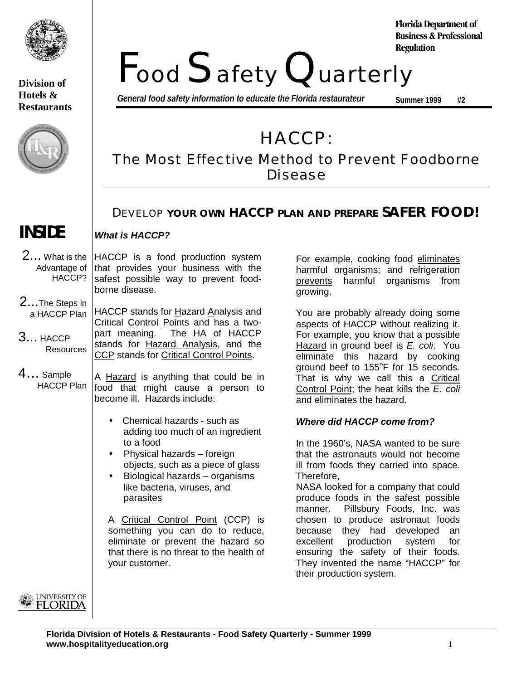

## **Division of Hotels & Restaurants**



Food Safety Quarterly **Regulation**

*General food safety information to educate the Florida restaurateur*

**Summer 1999 #2**

**Florida Department of Business & Professional**

HACCP:

# The Most Effective Method to Prevent Foodborne Disease

## DEVELOP **YOUR OWN HACCP PLAN AND PREPARE SAFER FOOD!**

## **INSIDE**

**What is HACCP?**

HACCP is a food production system that provides your business with the safest possible way to prevent foodborne disease. 2... What is the Advantage of HACCP?

HACCP stands for Hazard Analysis and Critical Control Points and has a twopart meaning. The HA of HACCP stands for **Hazard Analysis**, and the CCP stands for Critical Control Points. 2...The Steps in a HACCP Plan 3... HACCP **Resources** 

A **Hazard** is anything that could be in food that might cause a person to become ill. Hazards include: 4… Sample HACCP Plan

- Chemical hazards such as adding too much of an ingredient to a food
- Physical hazards foreign objects, such as a piece of glass
- Biological hazards organisms like bacteria, viruses, and parasites

A Critical Control Point (CCP) is something you can do to reduce, eliminate or prevent the hazard so that there is no threat to the health of your customer.

For example, cooking food eliminates harmful organisms; and refrigeration prevents harmful organisms from growing.

You are probably already doing some aspects of HACCP without realizing it. For example, you know that a possible Hazard in ground beef is E. coli. You eliminate this hazard by cooking ground beef to 155°F for 15 seconds. That is why we call this a Critical Control Point: the heat kills the  $E$ . coli and eliminates the hazard.

## **Where did HACCP come from?**

In the 1960's, NASA wanted to be sure that the astronauts would not become ill from foods they carried into space. Therefore,

NASA looked for a company that could produce foods in the safest possible manner. Pillsbury Foods, Inc. was chosen to produce astronaut foods because they had developed an excellent production system for ensuring the safety of their foods. They invented the name "HACCP" for their production system.

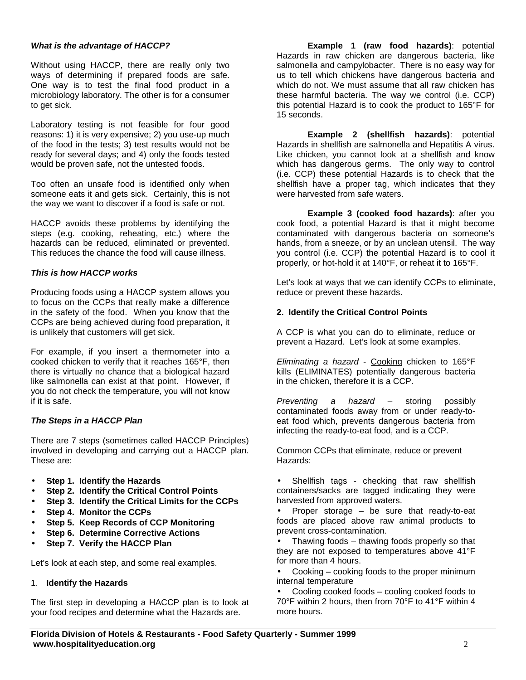### **What is the advantage of HACCP?**

Without using HACCP, there are really only two ways of determining if prepared foods are safe. One way is to test the final food product in a microbiology laboratory. The other is for a consumer to get sick.

Laboratory testing is not feasible for four good reasons: 1) it is very expensive; 2) you use-up much of the food in the tests; 3) test results would not be ready for several days; and 4) only the foods tested would be proven safe, not the untested foods.

Too often an unsafe food is identified only when someone eats it and gets sick. Certainly, this is not the way we want to discover if a food is safe or not.

HACCP avoids these problems by identifying the steps (e.g. cooking, reheating, etc.) where the hazards can be reduced, eliminated or prevented. This reduces the chance the food will cause illness.

## **This is how HACCP works**

Producing foods using a HACCP system allows you to focus on the CCPs that really make a difference in the safety of the food. When you know that the CCPs are being achieved during food preparation, it is unlikely that customers will get sick.

For example, if you insert a thermometer into a cooked chicken to verify that it reaches 165°F, then there is virtually no chance that a biological hazard like salmonella can exist at that point. However, if you do not check the temperature, you will not know if it is safe.

## **The Steps in a HACCP Plan**

There are 7 steps (sometimes called HACCP Principles) involved in developing and carrying out a HACCP plan. These are:

- **Step 1. Identify the Hazards**
- **Step 2. Identify the Critical Control Points**
- **Step 3. Identify the Critical Limits for the CCPs**
- **Step 4. Monitor the CCPs**
- **Step 5. Keep Records of CCP Monitoring**
- **Step 6. Determine Corrective Actions**
- **Step 7. Verify the HACCP Plan**

Let's look at each step, and some real examples.

#### 1. **Identify the Hazards**

The first step in developing a HACCP plan is to look at your food recipes and determine what the Hazards are.

**Example 1 (raw food hazards)**: potential Hazards in raw chicken are dangerous bacteria, like salmonella and campylobacter. There is no easy way for us to tell which chickens have dangerous bacteria and which do not. We must assume that all raw chicken has these harmful bacteria. The way we control (i.e. CCP) this potential Hazard is to cook the product to 165°F for 15 seconds.

**Example 2 (shellfish hazards)**: potential Hazards in shellfish are salmonella and Hepatitis A virus. Like chicken, you cannot look at a shellfish and know which has dangerous germs. The only way to control (i.e. CCP) these potential Hazards is to check that the shellfish have a proper tag, which indicates that they were harvested from safe waters.

**Example 3 (cooked food hazards)**: after you cook food, a potential Hazard is that it might become contaminated with dangerous bacteria on someone's hands, from a sneeze, or by an unclean utensil. The way you control (i.e. CCP) the potential Hazard is to cool it properly, or hot-hold it at 140°F, or reheat it to 165°F.

Let's look at ways that we can identify CCPs to eliminate, reduce or prevent these hazards.

## **2. Identify the Critical Control Points**

A CCP is what you can do to eliminate, reduce or prevent a Hazard. Let's look at some examples.

Eliminating a hazard - Cooking chicken to 165°F kills (ELIMINATES) potentially dangerous bacteria in the chicken, therefore it is a CCP.

Preventing a hazard – storing possibly contaminated foods away from or under ready-toeat food which, prevents dangerous bacteria from infecting the ready-to-eat food, and is a CCP.

Common CCPs that eliminate, reduce or prevent Hazards:

Shellfish tags - checking that raw shellfish containers/sacks are tagged indicating they were harvested from approved waters.

Proper storage  $-$  be sure that ready-to-eat foods are placed above raw animal products to prevent cross-contamination.

• Thawing foods – thawing foods properly so that they are not exposed to temperatures above 41°F for more than 4 hours.

• Cooking – cooking foods to the proper minimum internal temperature

Cooling cooked foods – cooling cooked foods to 70°F within 2 hours, then from 70°F to 41°F within 4 more hours.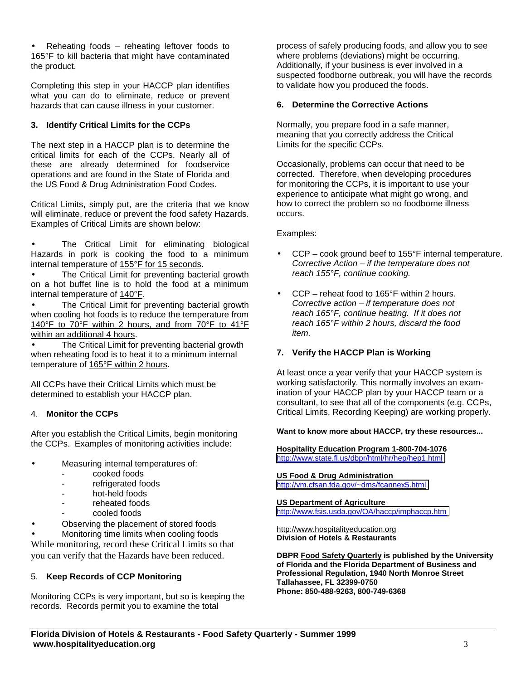• Reheating foods – reheating leftover foods to 165°F to kill bacteria that might have contaminated the product.

Completing this step in your HACCP plan identifies what you can do to eliminate, reduce or prevent hazards that can cause illness in your customer.

## **3. Identify Critical Limits for the CCPs**

The next step in a HACCP plan is to determine the critical limits for each of the CCPs. Nearly all of these are already determined for foodservice operations and are found in the State of Florida and the US Food & Drug Administration Food Codes.

Critical Limits, simply put, are the criteria that we know will eliminate, reduce or prevent the food safety Hazards. Examples of Critical Limits are shown below:

The Critical Limit for eliminating biological Hazards in pork is cooking the food to a minimum internal temperature of 155°F for 15 seconds.

The Critical Limit for preventing bacterial growth on a hot buffet line is to hold the food at a minimum internal temperature of 140°F.

The Critical Limit for preventing bacterial growth when cooling hot foods is to reduce the temperature from 140°F to 70°F within 2 hours, and from 70°F to 41°F within an additional 4 hours.

The Critical Limit for preventing bacterial growth when reheating food is to heat it to a minimum internal temperature of 165°F within 2 hours.

All CCPs have their Critical Limits which must be determined to establish your HACCP plan.

## 4. **Monitor the CCPs**

After you establish the Critical Limits, begin monitoring the CCPs. Examples of monitoring activities include:

- Measuring internal temperatures of:
	- cooked foods
	- refrigerated foods
	- hot-held foods
	- reheated foods
	- cooled foods
- Observing the placement of stored foods

• Monitoring time limits when cooling foods While monitoring, record these Critical Limits so that you can verify that the Hazards have been reduced.

## 5. **Keep Records of CCP Monitoring**

Monitoring CCPs is very important, but so is keeping the records. Records permit you to examine the total

process of safely producing foods, and allow you to see where problems (deviations) might be occurring. Additionally, if your business is ever involved in a suspected foodborne outbreak, you will have the records to validate how you produced the foods.

## **6. Determine the Corrective Actions**

Normally, you prepare food in a safe manner, meaning that you correctly address the Critical Limits for the specific CCPs.

Occasionally, problems can occur that need to be corrected. Therefore, when developing procedures for monitoring the CCPs, it is important to use your experience to anticipate what might go wrong, and how to correct the problem so no foodborne illness occurs.

#### Examples:

- $CCP$  cook ground beef to 155 $\degree$ F internal temperature. Corrective Action – if the temperature does not reach 155°F, continue cooking.
- CCP reheat food to 165°F within 2 hours. Corrective action – if temperature does not reach 165°F, continue heating. If it does not reach 165°F within 2 hours, discard the food item.

## **7. Verify the HACCP Plan is Working**

At least once a year verify that your HACCP system is working satisfactorily. This normally involves an examination of your HACCP plan by your HACCP team or a consultant, to see that all of the components (e.g. CCPs, Critical Limits, Recording Keeping) are working properly.

#### **Want to know more about HACCP, try these resources...**

**Hospitality Education Program 1-800-704-1076** <http://www.state.fl.us/dbpr/html/hr/hep/hep1.html>

#### **US Food & Drug Administration**

<http://vm.cfsan.fda.gov/~dms/fcannex5.html>

#### **US Department of Agriculture**

<http://www.fsis.usda.gov/OA/haccp/imphaccp.htm>

http://www.hospitalityeducation.org **Division of Hotels & Restaurants**

**DBPR Food Safety Quarterly is published by the University of Florida and the Florida Department of Business and Professional Regulation, 1940 North Monroe Street Tallahassee, FL 32399-0750 Phone: 850-488-9263, 800-749-6368**